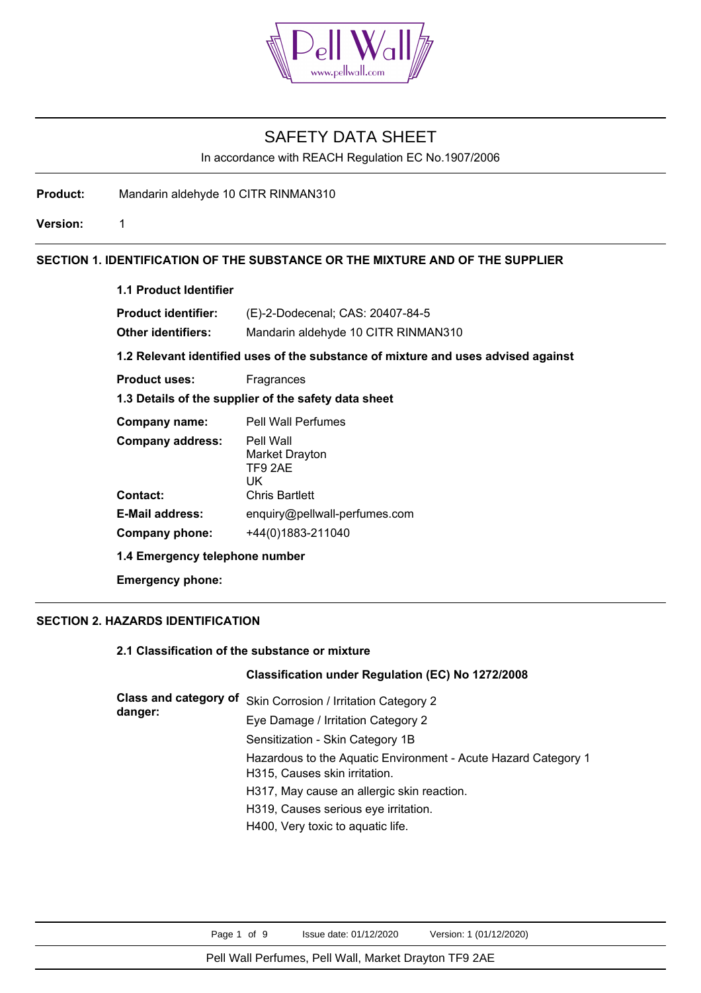

In accordance with REACH Regulation EC No.1907/2006

**Product:** Mandarin aldehyde 10 CITR RINMAN310

**Version:** 1

# **SECTION 1. IDENTIFICATION OF THE SUBSTANCE OR THE MIXTURE AND OF THE SUPPLIER**

| (E)-2-Dodecenal; CAS: 20407-84-5                                                  |
|-----------------------------------------------------------------------------------|
| Mandarin aldehyde 10 CITR RINMAN310                                               |
| 1.2 Relevant identified uses of the substance of mixture and uses advised against |
| Fragrances                                                                        |
| 1.3 Details of the supplier of the safety data sheet                              |
| <b>Pell Wall Perfumes</b>                                                         |
| Pell Wall<br>Market Drayton<br>TF9 2AE<br>UK                                      |
| <b>Chris Bartlett</b>                                                             |
| enquiry@pellwall-perfumes.com                                                     |
| +44(0)1883-211040                                                                 |
|                                                                                   |

**1.4 Emergency telephone number**

**Emergency phone:**

# **SECTION 2. HAZARDS IDENTIFICATION**

## **2.1 Classification of the substance or mixture**

# **Classification under Regulation (EC) No 1272/2008**

| Class and category of<br>danger: | Skin Corrosion / Irritation Category 2                         |
|----------------------------------|----------------------------------------------------------------|
|                                  | Eye Damage / Irritation Category 2                             |
|                                  | Sensitization - Skin Category 1B                               |
|                                  | Hazardous to the Aquatic Environment - Acute Hazard Category 1 |
|                                  | H315, Causes skin irritation.                                  |
|                                  | H317, May cause an allergic skin reaction.                     |
|                                  | H319, Causes serious eye irritation.                           |
|                                  | H400, Very toxic to aquatic life.                              |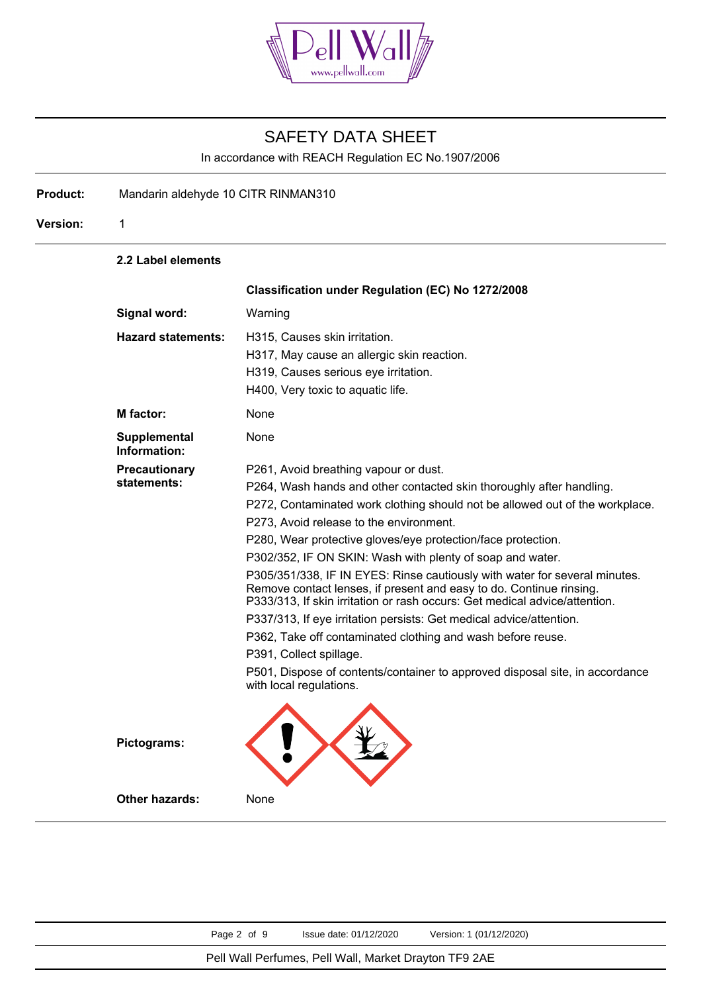

In accordance with REACH Regulation EC No.1907/2006

**Product:** Mandarin aldehyde 10 CITR RINMAN310

**Version:** 1

**2.2 Label elements**

|                                     | Classification under Regulation (EC) No 1272/2008                                                                                                                                                                                                                                                                                                                                                                                                                                                                                                                                                                                                                                                                                                                                                                                                                                    |
|-------------------------------------|--------------------------------------------------------------------------------------------------------------------------------------------------------------------------------------------------------------------------------------------------------------------------------------------------------------------------------------------------------------------------------------------------------------------------------------------------------------------------------------------------------------------------------------------------------------------------------------------------------------------------------------------------------------------------------------------------------------------------------------------------------------------------------------------------------------------------------------------------------------------------------------|
| Signal word:                        | Warning                                                                                                                                                                                                                                                                                                                                                                                                                                                                                                                                                                                                                                                                                                                                                                                                                                                                              |
| <b>Hazard statements:</b>           | H315, Causes skin irritation.<br>H317, May cause an allergic skin reaction.<br>H319, Causes serious eye irritation.<br>H400, Very toxic to aquatic life.                                                                                                                                                                                                                                                                                                                                                                                                                                                                                                                                                                                                                                                                                                                             |
| <b>M</b> factor:                    | None                                                                                                                                                                                                                                                                                                                                                                                                                                                                                                                                                                                                                                                                                                                                                                                                                                                                                 |
| <b>Supplemental</b><br>Information: | None                                                                                                                                                                                                                                                                                                                                                                                                                                                                                                                                                                                                                                                                                                                                                                                                                                                                                 |
| Precautionary<br>statements:        | P261, Avoid breathing vapour or dust.<br>P264, Wash hands and other contacted skin thoroughly after handling.<br>P272, Contaminated work clothing should not be allowed out of the workplace.<br>P273, Avoid release to the environment.<br>P280, Wear protective gloves/eye protection/face protection.<br>P302/352, IF ON SKIN: Wash with plenty of soap and water.<br>P305/351/338, IF IN EYES: Rinse cautiously with water for several minutes.<br>Remove contact lenses, if present and easy to do. Continue rinsing.<br>P333/313, If skin irritation or rash occurs: Get medical advice/attention.<br>P337/313, If eye irritation persists: Get medical advice/attention.<br>P362, Take off contaminated clothing and wash before reuse.<br>P391, Collect spillage.<br>P501, Dispose of contents/container to approved disposal site, in accordance<br>with local regulations. |
| Pictograms:                         |                                                                                                                                                                                                                                                                                                                                                                                                                                                                                                                                                                                                                                                                                                                                                                                                                                                                                      |
| <b>Other hazards:</b>               | None                                                                                                                                                                                                                                                                                                                                                                                                                                                                                                                                                                                                                                                                                                                                                                                                                                                                                 |

Page 2 of 9 Issue date: 01/12/2020 Version: 1 (01/12/2020)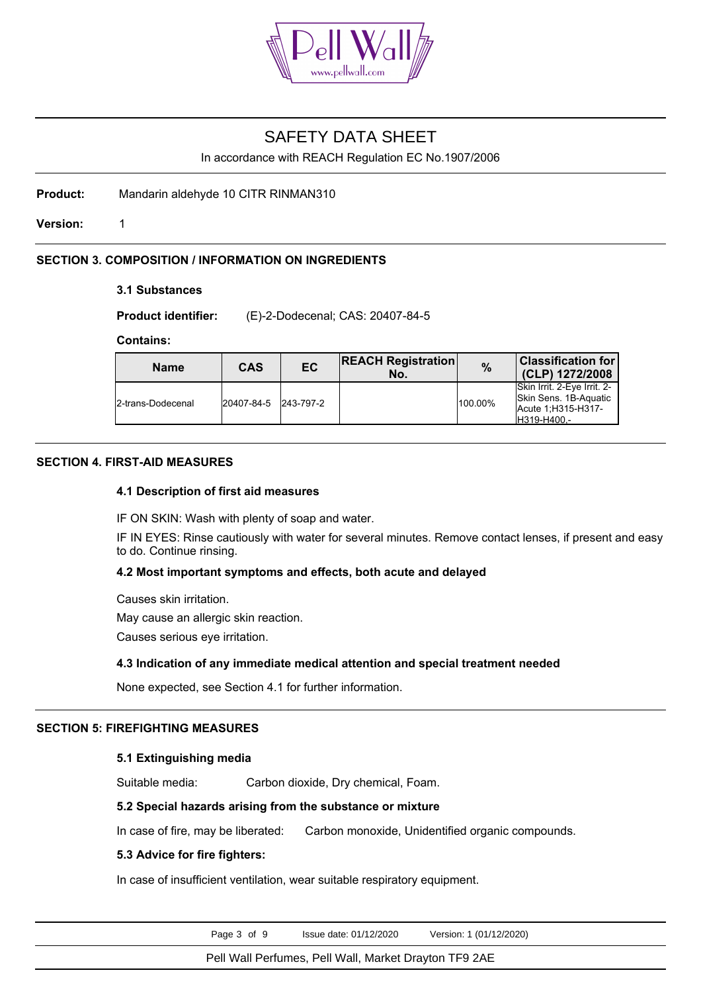

In accordance with REACH Regulation EC No.1907/2006

**Product:** Mandarin aldehyde 10 CITR RINMAN310

**Version:** 1

# **SECTION 3. COMPOSITION / INFORMATION ON INGREDIENTS**

## **3.1 Substances**

**Product identifier:** (E)-2-Dodecenal; CAS: 20407-84-5

### **Contains:**

| <b>Name</b>       | <b>CAS</b>           | EC | <b>REACH Registration</b><br>No. | $\frac{0}{0}$ | <b>Classification for</b><br>(CLP) 1272/2008                                              |
|-------------------|----------------------|----|----------------------------------|---------------|-------------------------------------------------------------------------------------------|
| 2-trans-Dodecenal | 20407-84-5 243-797-2 |    |                                  | 100.00%       | Skin Irrit, 2-Eve Irrit, 2-<br>Skin Sens, 1B-Aquatic<br>Acute 1:H315-H317-<br>H319-H400.- |

## **SECTION 4. FIRST-AID MEASURES**

### **4.1 Description of first aid measures**

IF ON SKIN: Wash with plenty of soap and water.

IF IN EYES: Rinse cautiously with water for several minutes. Remove contact lenses, if present and easy to do. Continue rinsing.

### **4.2 Most important symptoms and effects, both acute and delayed**

Causes skin irritation.

May cause an allergic skin reaction.

Causes serious eye irritation.

## **4.3 Indication of any immediate medical attention and special treatment needed**

None expected, see Section 4.1 for further information.

## **SECTION 5: FIREFIGHTING MEASURES**

### **5.1 Extinguishing media**

Suitable media: Carbon dioxide, Dry chemical, Foam.

### **5.2 Special hazards arising from the substance or mixture**

In case of fire, may be liberated: Carbon monoxide, Unidentified organic compounds.

## **5.3 Advice for fire fighters:**

In case of insufficient ventilation, wear suitable respiratory equipment.

Page 3 of 9 Issue date: 01/12/2020 Version: 1 (01/12/2020)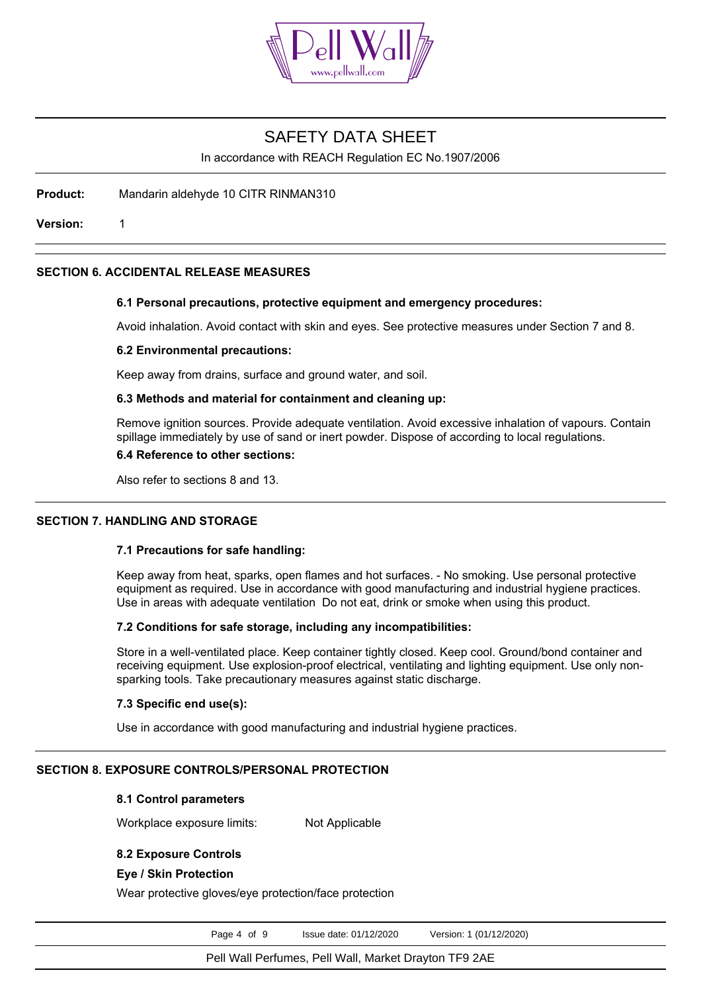

In accordance with REACH Regulation EC No.1907/2006

**Product:** Mandarin aldehyde 10 CITR RINMAN310

**Version:** 1

## **SECTION 6. ACCIDENTAL RELEASE MEASURES**

## **6.1 Personal precautions, protective equipment and emergency procedures:**

Avoid inhalation. Avoid contact with skin and eyes. See protective measures under Section 7 and 8.

#### **6.2 Environmental precautions:**

Keep away from drains, surface and ground water, and soil.

#### **6.3 Methods and material for containment and cleaning up:**

Remove ignition sources. Provide adequate ventilation. Avoid excessive inhalation of vapours. Contain spillage immediately by use of sand or inert powder. Dispose of according to local regulations.

## **6.4 Reference to other sections:**

Also refer to sections 8 and 13.

### **SECTION 7. HANDLING AND STORAGE**

# **7.1 Precautions for safe handling:**

Keep away from heat, sparks, open flames and hot surfaces. - No smoking. Use personal protective equipment as required. Use in accordance with good manufacturing and industrial hygiene practices. Use in areas with adequate ventilation Do not eat, drink or smoke when using this product.

## **7.2 Conditions for safe storage, including any incompatibilities:**

Store in a well-ventilated place. Keep container tightly closed. Keep cool. Ground/bond container and receiving equipment. Use explosion-proof electrical, ventilating and lighting equipment. Use only nonsparking tools. Take precautionary measures against static discharge.

### **7.3 Specific end use(s):**

Use in accordance with good manufacturing and industrial hygiene practices.

# **SECTION 8. EXPOSURE CONTROLS/PERSONAL PROTECTION**

# **8.1 Control parameters**

Workplace exposure limits: Not Applicable

# **8.2 Exposure Controls**

# **Eye / Skin Protection**

Wear protective gloves/eye protection/face protection

Page 4 of 9 Issue date: 01/12/2020 Version: 1 (01/12/2020)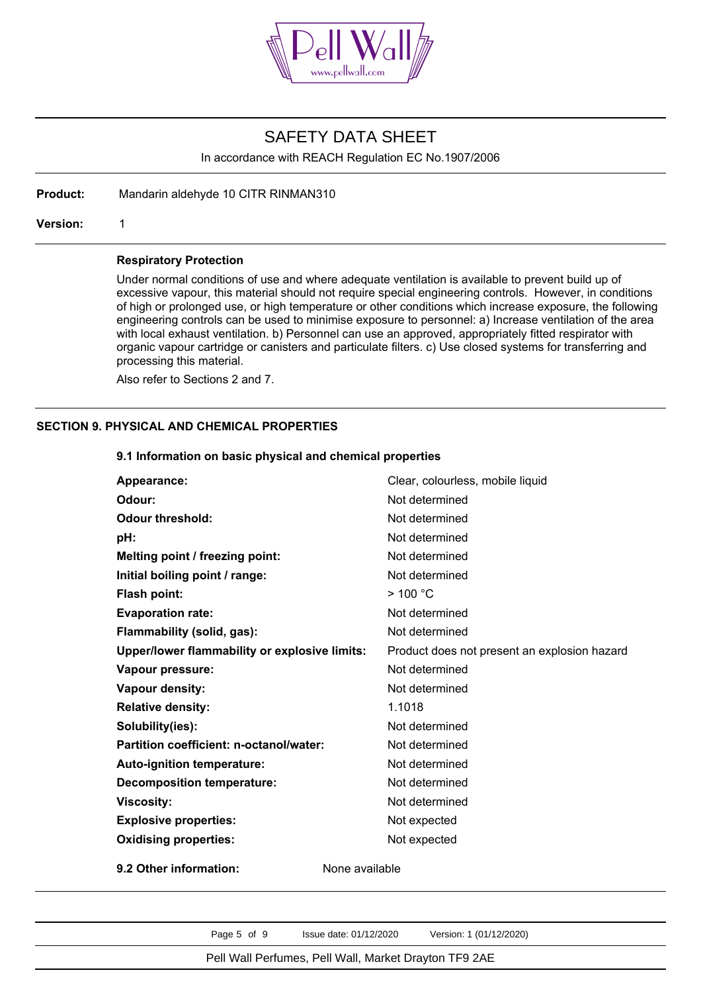

In accordance with REACH Regulation EC No.1907/2006

**Product:** Mandarin aldehyde 10 CITR RINMAN310

**Version:** 1

#### **Respiratory Protection**

Under normal conditions of use and where adequate ventilation is available to prevent build up of excessive vapour, this material should not require special engineering controls. However, in conditions of high or prolonged use, or high temperature or other conditions which increase exposure, the following engineering controls can be used to minimise exposure to personnel: a) Increase ventilation of the area with local exhaust ventilation. b) Personnel can use an approved, appropriately fitted respirator with organic vapour cartridge or canisters and particulate filters. c) Use closed systems for transferring and processing this material.

Also refer to Sections 2 and 7.

## **SECTION 9. PHYSICAL AND CHEMICAL PROPERTIES**

# Appearance: **Clear, colourless, mobile liquid** Clear, colourless, mobile liquid **Odour:** Not determined **Odour threshold:** Not determined **pH:** Not determined **Melting point / freezing point:** Not determined **Initial boiling point / range:** Not determined **Flash point:**  $> 100 °C$ **Evaporation rate:** Not determined **Flammability (solid, gas):** Not determined **Upper/lower flammability or explosive limits:** Product does not present an explosion hazard **Vapour pressure:** Not determined **Vapour density:** Not determined **Relative density:** 1.1018 **Solubility(ies):** Not determined **Partition coefficient: n-octanol/water:** Not determined **Auto-ignition temperature:** Not determined **Decomposition temperature:** Not determined **Viscosity:** Not determined **Explosive properties:** Not expected **Oxidising properties:** Not expected **9.2 Other information:** None available

**9.1 Information on basic physical and chemical properties**

Page 5 of 9 Issue date: 01/12/2020 Version: 1 (01/12/2020)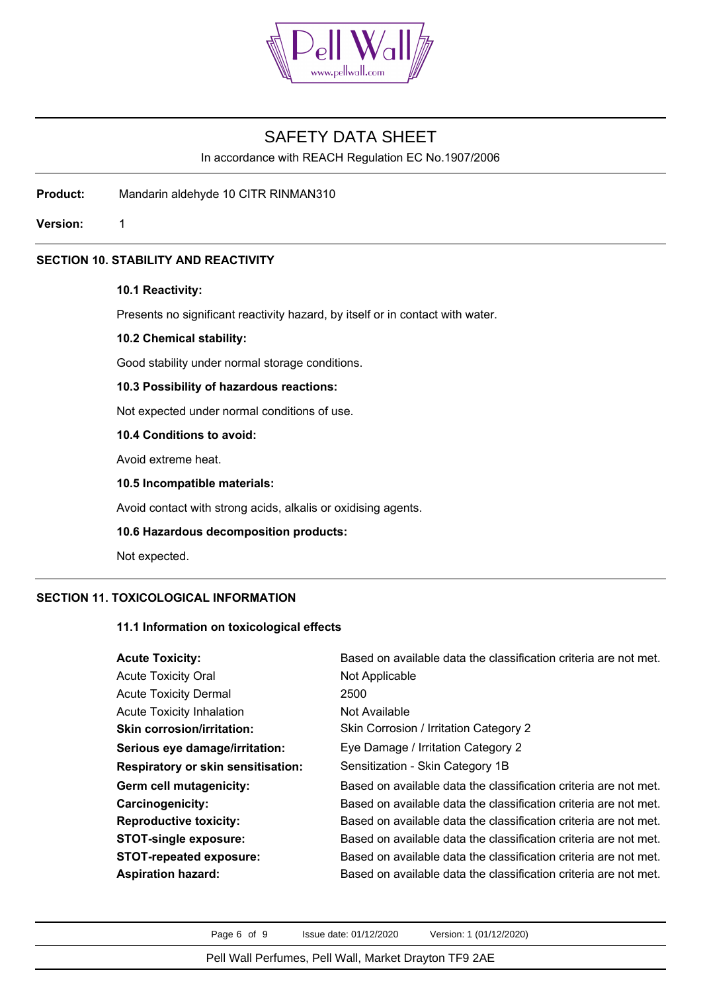

In accordance with REACH Regulation EC No.1907/2006

**Product:** Mandarin aldehyde 10 CITR RINMAN310

**Version:** 1

# **SECTION 10. STABILITY AND REACTIVITY**

## **10.1 Reactivity:**

Presents no significant reactivity hazard, by itself or in contact with water.

#### **10.2 Chemical stability:**

Good stability under normal storage conditions.

## **10.3 Possibility of hazardous reactions:**

Not expected under normal conditions of use.

# **10.4 Conditions to avoid:**

Avoid extreme heat.

## **10.5 Incompatible materials:**

Avoid contact with strong acids, alkalis or oxidising agents.

## **10.6 Hazardous decomposition products:**

Not expected.

# **SECTION 11. TOXICOLOGICAL INFORMATION**

# **11.1 Information on toxicological effects**

| <b>Acute Toxicity:</b>                    | Based on available data the classification criteria are not met. |
|-------------------------------------------|------------------------------------------------------------------|
| <b>Acute Toxicity Oral</b>                | Not Applicable                                                   |
| <b>Acute Toxicity Dermal</b>              | 2500                                                             |
| <b>Acute Toxicity Inhalation</b>          | Not Available                                                    |
| <b>Skin corrosion/irritation:</b>         | Skin Corrosion / Irritation Category 2                           |
| Serious eye damage/irritation:            | Eye Damage / Irritation Category 2                               |
| <b>Respiratory or skin sensitisation:</b> | Sensitization - Skin Category 1B                                 |
| Germ cell mutagenicity:                   | Based on available data the classification criteria are not met. |
| Carcinogenicity:                          | Based on available data the classification criteria are not met. |
| <b>Reproductive toxicity:</b>             | Based on available data the classification criteria are not met. |
| <b>STOT-single exposure:</b>              | Based on available data the classification criteria are not met. |
| <b>STOT-repeated exposure:</b>            | Based on available data the classification criteria are not met. |
| <b>Aspiration hazard:</b>                 | Based on available data the classification criteria are not met. |

Page 6 of 9 Issue date: 01/12/2020 Version: 1 (01/12/2020)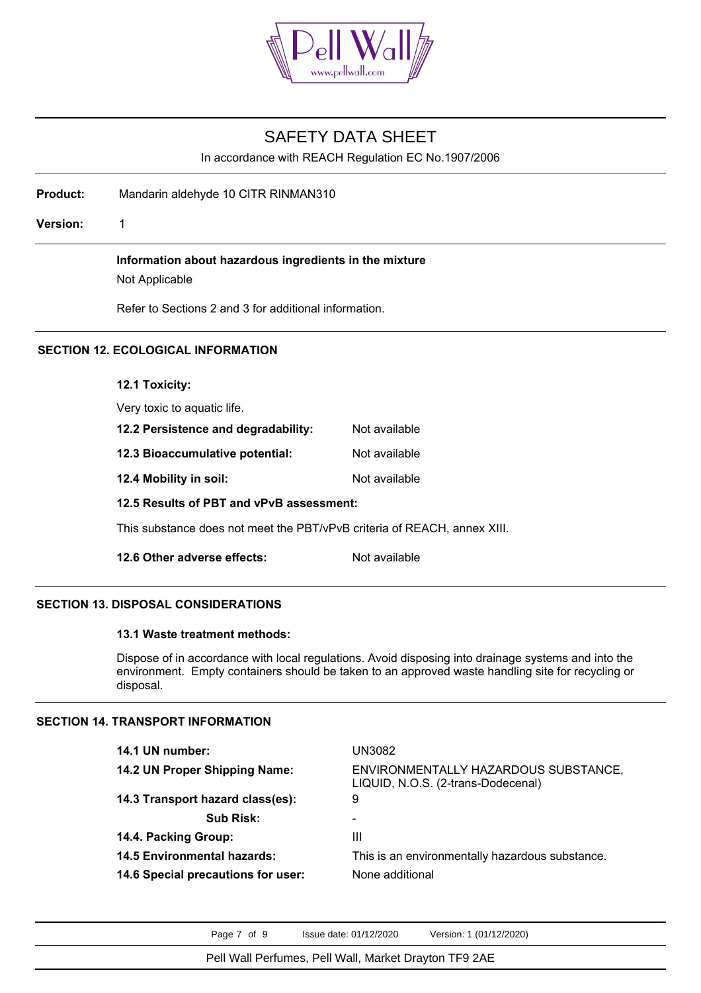

In accordance with REACH Regulation EC No.1907/2006

**Product:** Mandarin aldehyde 10 CITR RINMAN310

**Version:** 1

**Information about hazardous ingredients in the mixture**

Not Applicable

Refer to Sections 2 and 3 for additional information.

# **SECTION 12. ECOLOGICAL INFORMATION**

**12.1 Toxicity:**

| IZ.I I UAIUILY.                                                          |               |
|--------------------------------------------------------------------------|---------------|
| Very toxic to aquatic life.                                              |               |
| 12.2 Persistence and degradability:                                      | Not available |
| 12.3 Bioaccumulative potential:                                          | Not available |
| 12.4 Mobility in soil:                                                   | Not available |
| 12.5 Results of PBT and vPvB assessment:                                 |               |
| This substance does not meet the PBT/vPvB criteria of REACH, annex XIII. |               |
| 12.6 Other adverse effects:                                              | Not available |

### **SECTION 13. DISPOSAL CONSIDERATIONS**

### **13.1 Waste treatment methods:**

Dispose of in accordance with local regulations. Avoid disposing into drainage systems and into the environment. Empty containers should be taken to an approved waste handling site for recycling or disposal.

## **SECTION 14. TRANSPORT INFORMATION**

| 14.1 UN number:                    | UN3082                                                                     |
|------------------------------------|----------------------------------------------------------------------------|
| 14.2 UN Proper Shipping Name:      | ENVIRONMENTALLY HAZARDOUS SUBSTANCE,<br>LIQUID, N.O.S. (2-trans-Dodecenal) |
| 14.3 Transport hazard class(es):   | 9                                                                          |
| <b>Sub Risk:</b>                   |                                                                            |
| 14.4. Packing Group:               | Ш                                                                          |
| <b>14.5 Environmental hazards:</b> | This is an environmentally hazardous substance.                            |
| 14.6 Special precautions for user: | None additional                                                            |
|                                    |                                                                            |

Page 7 of 9 Issue date: 01/12/2020 Version: 1 (01/12/2020)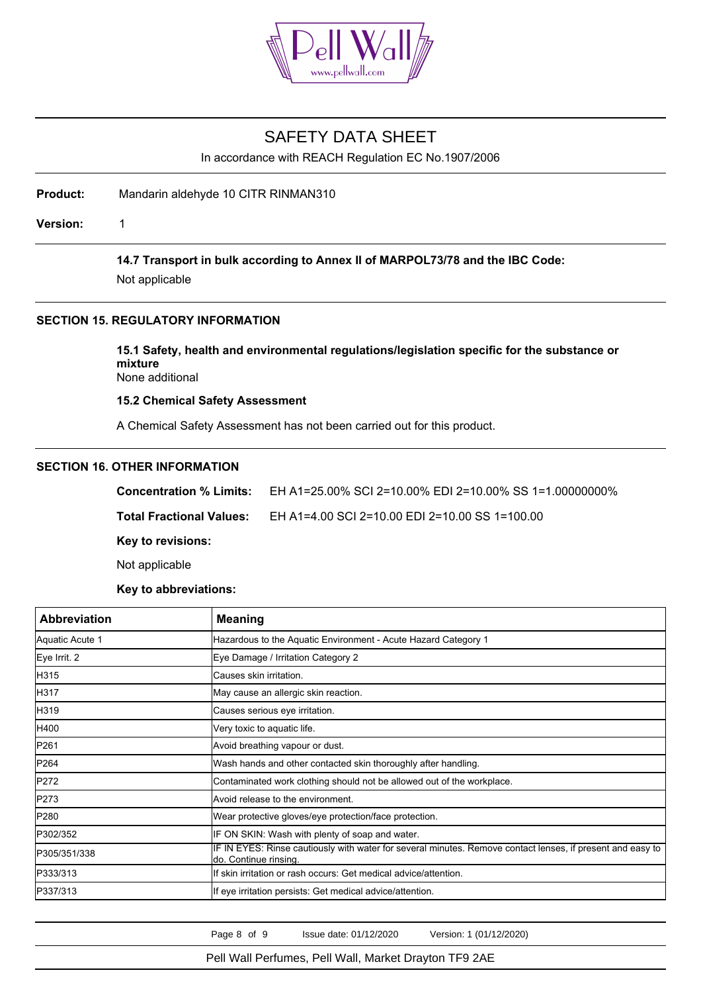

In accordance with REACH Regulation EC No.1907/2006

**Product:** Mandarin aldehyde 10 CITR RINMAN310

**Version:** 1

**14.7 Transport in bulk according to Annex II of MARPOL73/78 and the IBC Code:**

Not applicable

# **SECTION 15. REGULATORY INFORMATION**

**15.1 Safety, health and environmental regulations/legislation specific for the substance or mixture** None additional

**15.2 Chemical Safety Assessment**

A Chemical Safety Assessment has not been carried out for this product.

### **SECTION 16. OTHER INFORMATION**

**Concentration % Limits:** EH A1=25.00% SCI 2=10.00% EDI 2=10.00% SS 1=1.00000000%

**Total Fractional Values:** EH A1=4.00 SCI 2=10.00 EDI 2=10.00 SS 1=100.00

**Key to revisions:**

Not applicable

**Key to abbreviations:**

| <b>Abbreviation</b> | <b>Meaning</b>                                                                                                                      |
|---------------------|-------------------------------------------------------------------------------------------------------------------------------------|
| Aquatic Acute 1     | Hazardous to the Aquatic Environment - Acute Hazard Category 1                                                                      |
| Eye Irrit. 2        | Eye Damage / Irritation Category 2                                                                                                  |
| H315                | Causes skin irritation.                                                                                                             |
| H317                | May cause an allergic skin reaction.                                                                                                |
| H319                | Causes serious eye irritation.                                                                                                      |
| H400                | Very toxic to aquatic life.                                                                                                         |
| P261                | Avoid breathing vapour or dust.                                                                                                     |
| P <sub>264</sub>    | Wash hands and other contacted skin thoroughly after handling.                                                                      |
| P272                | Contaminated work clothing should not be allowed out of the workplace.                                                              |
| P273                | Avoid release to the environment.                                                                                                   |
| P280                | Wear protective gloves/eye protection/face protection.                                                                              |
| P302/352            | IF ON SKIN: Wash with plenty of soap and water.                                                                                     |
| P305/351/338        | IF IN EYES: Rinse cautiously with water for several minutes. Remove contact lenses, if present and easy to<br>do. Continue rinsing. |
| P333/313            | If skin irritation or rash occurs: Get medical advice/attention.                                                                    |
| P337/313            | If eye irritation persists: Get medical advice/attention.                                                                           |

Page 8 of 9 Issue date: 01/12/2020 Version: 1 (01/12/2020)